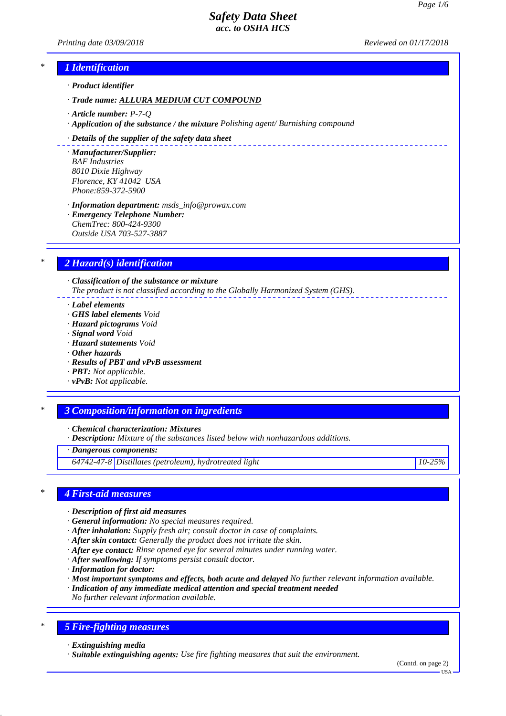*Printing date 03/09/2018 Reviewed on 01/17/2018*

# *\* 1 Identification*

*· Product identifier*

*· Trade name: ALLURA MEDIUM CUT COMPOUND*

- *· Article number: P-7-Q*
- *· Application of the substance / the mixture Polishing agent/ Burnishing compound*

#### *· Details of the supplier of the safety data sheet*

*· Manufacturer/Supplier: BAF Industries 8010 Dixie Highway Florence, KY 41042 USA Phone:859-372-5900*

*· Information department: msds\_info@prowax.com*

*· Emergency Telephone Number: ChemTrec: 800-424-9300 Outside USA 703-527-3887*

# *\* 2 Hazard(s) identification*

*· Classification of the substance or mixture The product is not classified according to the Globally Harmonized System (GHS).*

*· Label elements*

- *· GHS label elements Void*
- *· Hazard pictograms Void*
- *· Signal word Void*
- *· Hazard statements Void*
- *· Other hazards*
- *· Results of PBT and vPvB assessment*
- *· PBT: Not applicable.*
- *· vPvB: Not applicable.*

### *\* 3 Composition/information on ingredients*

*· Chemical characterization: Mixtures*

*· Description: Mixture of the substances listed below with nonhazardous additions.*

*· Dangerous components:*

*64742-47-8 Distillates (petroleum), hydrotreated light 10-25%*

### *\* 4 First-aid measures*

- *· Description of first aid measures*
- *· General information: No special measures required.*
- *· After inhalation: Supply fresh air; consult doctor in case of complaints.*
- *· After skin contact: Generally the product does not irritate the skin.*
- *· After eye contact: Rinse opened eye for several minutes under running water.*
- *· After swallowing: If symptoms persist consult doctor.*
- *· Information for doctor:*
- *· Most important symptoms and effects, both acute and delayed No further relevant information available.*
- *· Indication of any immediate medical attention and special treatment needed*
- *No further relevant information available.*

# *\* 5 Fire-fighting measures*

*· Extinguishing media*

*· Suitable extinguishing agents: Use fire fighting measures that suit the environment.*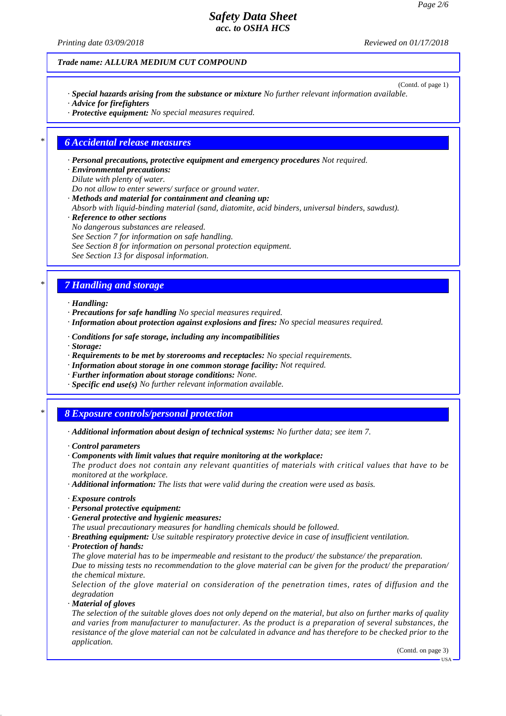*Printing date 03/09/2018 Reviewed on 01/17/2018*

#### *Trade name: ALLURA MEDIUM CUT COMPOUND*

- (Contd. of page 1) *· Special hazards arising from the substance or mixture No further relevant information available. · Advice for firefighters*
- *· Protective equipment: No special measures required.*

#### *\* 6 Accidental release measures*

*· Personal precautions, protective equipment and emergency procedures Not required.*

- *· Environmental precautions:*
- *Dilute with plenty of water.*
- *Do not allow to enter sewers/ surface or ground water.*
- *· Methods and material for containment and cleaning up:*
- *Absorb with liquid-binding material (sand, diatomite, acid binders, universal binders, sawdust).*
- *· Reference to other sections*
- *No dangerous substances are released.*
- *See Section 7 for information on safe handling.*
- *See Section 8 for information on personal protection equipment.*
- *See Section 13 for disposal information.*

### *\* 7 Handling and storage*

- *· Handling:*
- *· Precautions for safe handling No special measures required.*
- *· Information about protection against explosions and fires: No special measures required.*
- *· Conditions for safe storage, including any incompatibilities*
- *· Storage:*
- *· Requirements to be met by storerooms and receptacles: No special requirements.*
- *· Information about storage in one common storage facility: Not required.*
- *· Further information about storage conditions: None.*
- *· Specific end use(s) No further relevant information available.*

### *\* 8 Exposure controls/personal protection*

- *· Additional information about design of technical systems: No further data; see item 7.*
- *· Control parameters*
- *· Components with limit values that require monitoring at the workplace:*
- *The product does not contain any relevant quantities of materials with critical values that have to be monitored at the workplace.*
- *· Additional information: The lists that were valid during the creation were used as basis.*
- *· Exposure controls*
- *· Personal protective equipment:*
- *· General protective and hygienic measures:*
- *The usual precautionary measures for handling chemicals should be followed.*
- *· Breathing equipment: Use suitable respiratory protective device in case of insufficient ventilation.*
- *· Protection of hands:*
- *The glove material has to be impermeable and resistant to the product/ the substance/ the preparation.*

*Due to missing tests no recommendation to the glove material can be given for the product/ the preparation/ the chemical mixture.*

*Selection of the glove material on consideration of the penetration times, rates of diffusion and the degradation*

*· Material of gloves*

*The selection of the suitable gloves does not only depend on the material, but also on further marks of quality and varies from manufacturer to manufacturer. As the product is a preparation of several substances, the resistance of the glove material can not be calculated in advance and has therefore to be checked prior to the application.*

(Contd. on page 3)

USA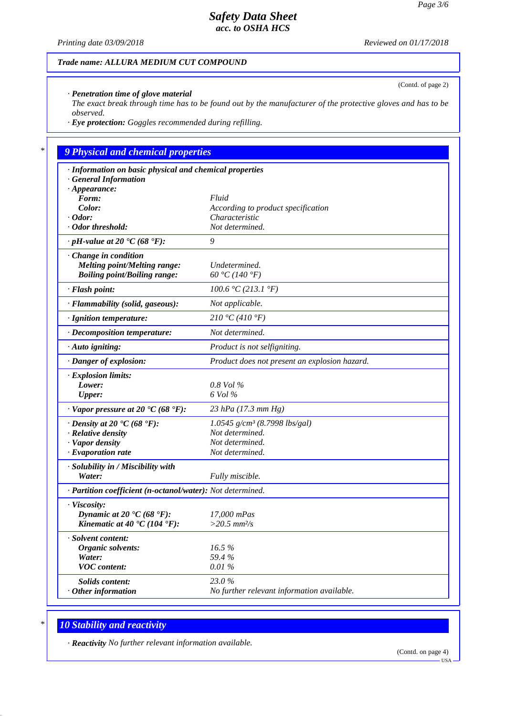(Contd. of page 2)

# *Safety Data Sheet acc. to OSHA HCS*

*Printing date 03/09/2018 Reviewed on 01/17/2018*

#### *Trade name: ALLURA MEDIUM CUT COMPOUND*

*· Penetration time of glove material*

*The exact break through time has to be found out by the manufacturer of the protective gloves and has to be observed.*

*· Eye protection: Goggles recommended during refilling.*

# *\* 9 Physical and chemical properties*

| · Information on basic physical and chemical properties            |                                               |
|--------------------------------------------------------------------|-----------------------------------------------|
| <b>General Information</b>                                         |                                               |
| $\cdot$ Appearance:                                                |                                               |
| Form:                                                              | Fluid                                         |
| Color:                                                             | According to product specification            |
| $\cdot$ Odor:<br>· Odor threshold:                                 | Characteristic<br>Not determined.             |
|                                                                    |                                               |
| $\cdot$ pH-value at 20 °C (68 °F):                                 | 9                                             |
| $\cdot$ Change in condition                                        |                                               |
| Melting point/Melting range:                                       | Undetermined.                                 |
| <b>Boiling point/Boiling range:</b>                                | 60 °C (140 °F)                                |
| · Flash point:                                                     | 100.6 °C(213.1 °F)                            |
| · Flammability (solid, gaseous):                                   | Not applicable.                               |
| · Ignition temperature:                                            | 210 °C (410 °F)                               |
| · Decomposition temperature:                                       | Not determined.                               |
| · Auto igniting:                                                   | Product is not selfigniting.                  |
| · Danger of explosion:                                             | Product does not present an explosion hazard. |
| <b>Explosion limits:</b>                                           |                                               |
| Lower:                                                             | $0.8$ Vol $\%$                                |
| <b>Upper:</b>                                                      | 6 Vol %                                       |
| $\cdot$ Vapor pressure at 20 $\textdegree$ C (68 $\textdegree$ F): | 23 hPa $(17.3 \text{ mm Hg})$                 |
| $\cdot$ Density at 20 $\cdot$ C (68 $\cdot$ F):                    | 1.0545 $g/cm^3$ (8.7998 lbs/gal)              |
| · Relative density                                                 | Not determined.                               |
| · Vapor density                                                    | Not determined.                               |
| $\cdot$ Evaporation rate                                           | Not determined.                               |
| · Solubility in / Miscibility with                                 |                                               |
| Water:                                                             | Fully miscible.                               |
| · Partition coefficient (n-octanol/water): Not determined.         |                                               |
| · Viscosity:                                                       |                                               |
| Dynamic at 20 $\textdegree$ C (68 $\textdegree$ F):                | 17,000 mPas                                   |
| Kinematic at 40 $\text{C}(104 \text{ }^{\circ}\text{F})$ :         | $>20.5$ mm <sup>2</sup> /s                    |
| · Solvent content:                                                 |                                               |
| Organic solvents:                                                  | 16.5%                                         |
| Water:                                                             | 59.4%                                         |
| <b>VOC</b> content:                                                | 0.01%                                         |
| Solids content:                                                    | 23.0%                                         |
| $\cdot$ Other information                                          | No further relevant information available.    |
|                                                                    |                                               |

# *\* 10 Stability and reactivity*

*· Reactivity No further relevant information available.*

(Contd. on page 4)

USA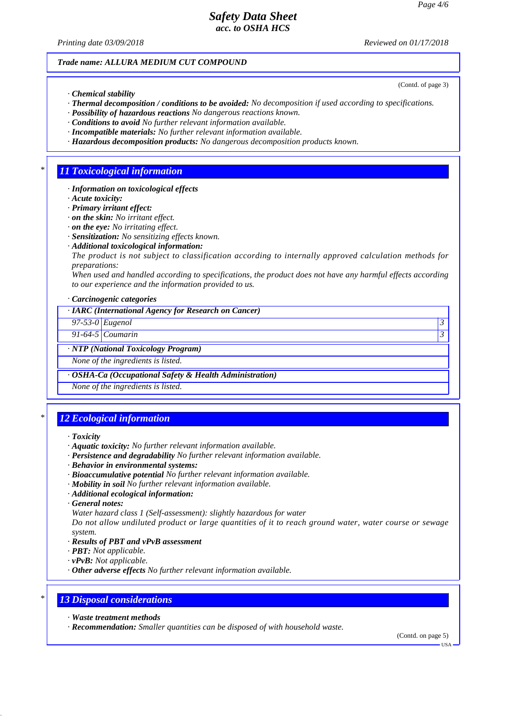*Printing date 03/09/2018 Reviewed on 01/17/2018*

(Contd. of page 3)

#### *Trade name: ALLURA MEDIUM CUT COMPOUND*

*· Chemical stability*

- *· Thermal decomposition / conditions to be avoided: No decomposition if used according to specifications.*
- *· Possibility of hazardous reactions No dangerous reactions known.*
- *· Conditions to avoid No further relevant information available.*
- *· Incompatible materials: No further relevant information available.*
- *· Hazardous decomposition products: No dangerous decomposition products known.*

### *\* 11 Toxicological information*

- *· Information on toxicological effects*
- *· Acute toxicity:*
- *· Primary irritant effect:*
- *· on the skin: No irritant effect.*
- *· on the eye: No irritating effect.*
- *· Sensitization: No sensitizing effects known.*
- *· Additional toxicological information:*
- *The product is not subject to classification according to internally approved calculation methods for preparations:*

*When used and handled according to specifications, the product does not have any harmful effects according to our experience and the information provided to us.*

*· Carcinogenic categories*

*· IARC (International Agency for Research on Cancer)*

*97-53-0 Eugenol 3* 

*91-64-5 Coumarin 3* 

#### *· NTP (National Toxicology Program)*

*None of the ingredients is listed.*

*· OSHA-Ca (Occupational Safety & Health Administration)*

*None of the ingredients is listed.*

### *\* 12 Ecological information*

- *· Aquatic toxicity: No further relevant information available.*
- *· Persistence and degradability No further relevant information available.*
- *· Behavior in environmental systems:*
- *· Bioaccumulative potential No further relevant information available.*
- *· Mobility in soil No further relevant information available.*
- *· Additional ecological information:*
- *· General notes:*

*Water hazard class 1 (Self-assessment): slightly hazardous for water*

*Do not allow undiluted product or large quantities of it to reach ground water, water course or sewage system.*

- *· Results of PBT and vPvB assessment*
- *· PBT: Not applicable.*
- *· vPvB: Not applicable.*
- *· Other adverse effects No further relevant information available.*

# *\* 13 Disposal considerations*

- *· Waste treatment methods*
- *· Recommendation: Smaller quantities can be disposed of with household waste.*

(Contd. on page 5)

USA

*<sup>·</sup> Toxicity*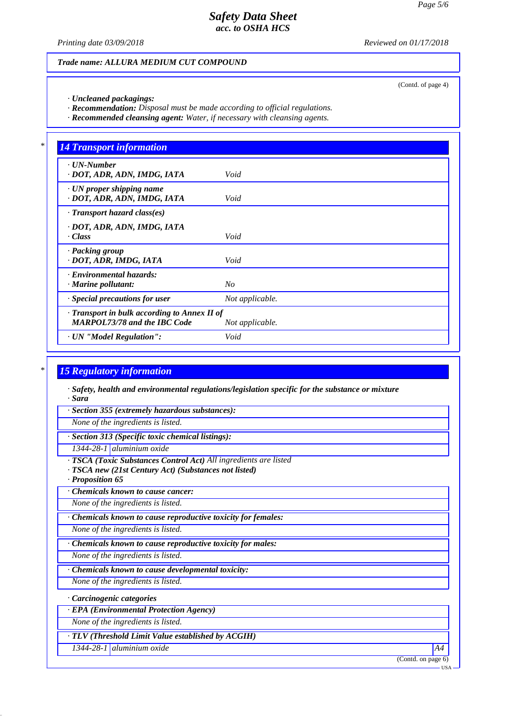*Printing date 03/09/2018 Reviewed on 01/17/2018*

(Contd. of page 4)

#### *Trade name: ALLURA MEDIUM CUT COMPOUND*

*· Uncleaned packagings:*

*· Recommendation: Disposal must be made according to official regulations.*

*· Recommended cleansing agent: Water, if necessary with cleansing agents.*

| $\cdot$ UN-Number                          |                 |
|--------------------------------------------|-----------------|
| · DOT, ADR, ADN, IMDG, IATA                | Void            |
| $\cdot$ UN proper shipping name            |                 |
| · DOT, ADR, ADN, IMDG, IATA                | Void            |
| $\cdot$ Transport hazard class(es)         |                 |
| · DOT, ADR, ADN, IMDG, IATA                |                 |
| · Class                                    | Void            |
| · Packing group                            |                 |
| · DOT, ADR, IMDG, IATA                     | Void            |
| · Environmental hazards:                   |                 |
| $\cdot$ Marine pollutant:                  | N <sub>O</sub>  |
| · Special precautions for user             | Not applicable. |
| Transport in bulk according to Annex II of |                 |
| <b>MARPOL73/78 and the IBC Code</b>        | Not applicable. |

# *\* 15 Regulatory information*

*· Safety, health and environmental regulations/legislation specific for the substance or mixture · Sara*

*· Section 355 (extremely hazardous substances):*

*None of the ingredients is listed.*

*· Section 313 (Specific toxic chemical listings):*

*1344-28-1 aluminium oxide*

*· TSCA (Toxic Substances Control Act) All ingredients are listed*

*· TSCA new (21st Century Act) (Substances not listed)*

*· Proposition 65*

*· Chemicals known to cause cancer:*

*None of the ingredients is listed.*

*· Chemicals known to cause reproductive toxicity for females:*

*None of the ingredients is listed.*

*· Chemicals known to cause reproductive toxicity for males:*

*None of the ingredients is listed.*

*· Chemicals known to cause developmental toxicity:*

*None of the ingredients is listed.*

*· Carcinogenic categories*

*· EPA (Environmental Protection Agency)*

*None of the ingredients is listed.*

*· TLV (Threshold Limit Value established by ACGIH)*

*1344-28-1 aluminium oxide A4*

(Contd. on page 6)

USA